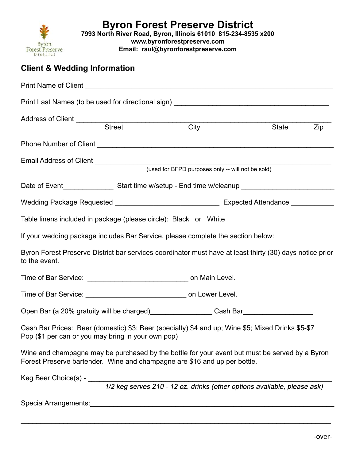

7993 North River Road, Byron, Illinois 61010 815-234-8535 x200

www.byronforestpreserve.com

Email: raul@byronforestpreserve.com

# Client & Wedding Information

| Address of Client <b>Address of Client Address of Client</b>                                                                                                                |                                                   |              |
|-----------------------------------------------------------------------------------------------------------------------------------------------------------------------------|---------------------------------------------------|--------------|
| <b>Street</b>                                                                                                                                                               | City                                              | State<br>Zip |
|                                                                                                                                                                             |                                                   |              |
|                                                                                                                                                                             |                                                   |              |
|                                                                                                                                                                             | (used for BFPD purposes only -- will not be sold) |              |
|                                                                                                                                                                             |                                                   |              |
|                                                                                                                                                                             |                                                   |              |
| Table linens included in package (please circle): Black or White                                                                                                            |                                                   |              |
| If your wedding package includes Bar Service, please complete the section below:                                                                                            |                                                   |              |
| Byron Forest Preserve District bar services coordinator must have at least thirty (30) days notice prior<br>to the event.                                                   |                                                   |              |
| Time of Bar Service: ___________________________________ on Main Level.                                                                                                     |                                                   |              |
|                                                                                                                                                                             |                                                   |              |
| Open Bar (a 20% gratuity will be charged)__________________Cash Bar______________                                                                                           |                                                   |              |
| Cash Bar Prices: Beer (domestic) \$3; Beer (specialty) \$4 and up; Wine \$5; Mixed Drinks \$5-\$7<br>Pop (\$1 per can or you may bring in your own pop)                     |                                                   |              |
| Wine and champagne may be purchased by the bottle for your event but must be served by a Byron<br>Forest Preserve bartender. Wine and champagne are \$16 and up per bottle. |                                                   |              |
|                                                                                                                                                                             |                                                   |              |
| Keg Beer Choice(s) - 1/2 keg serves 210 - 12 oz. drinks (other options available, please ask)                                                                               |                                                   |              |
|                                                                                                                                                                             |                                                   |              |

 $\mathcal{L}_\mathcal{L} = \mathcal{L}_\mathcal{L} = \mathcal{L}_\mathcal{L} = \mathcal{L}_\mathcal{L} = \mathcal{L}_\mathcal{L} = \mathcal{L}_\mathcal{L} = \mathcal{L}_\mathcal{L} = \mathcal{L}_\mathcal{L} = \mathcal{L}_\mathcal{L} = \mathcal{L}_\mathcal{L} = \mathcal{L}_\mathcal{L} = \mathcal{L}_\mathcal{L} = \mathcal{L}_\mathcal{L} = \mathcal{L}_\mathcal{L} = \mathcal{L}_\mathcal{L} = \mathcal{L}_\mathcal{L} = \mathcal{L}_\mathcal{L}$